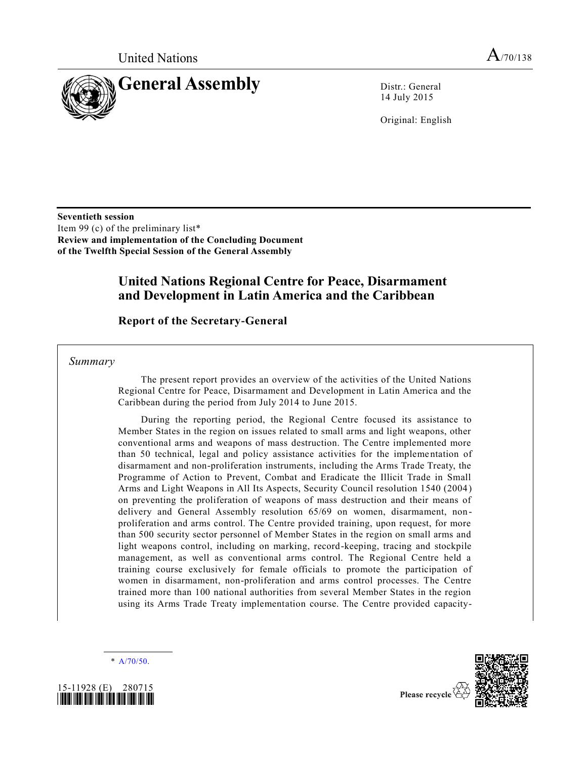

14 July 2015

Original: English

**Seventieth session**  Item 99 (c) of the preliminary list\* **Review and implementation of the Concluding Document of the Twelfth Special Session of the General Assembly**

## **United Nations Regional Centre for Peace, Disarmament and Development in Latin America and the Caribbean**

### **Report of the Secretary-General**

*Summary*

The present report provides an overview of the activities of the United Nations Regional Centre for Peace, Disarmament and Development in Latin America and the Caribbean during the period from July 2014 to June 2015.

During the reporting period, the Regional Centre focused its assistance to Member States in the region on issues related to small arms and light weapons, other conventional arms and weapons of mass destruction. The Centre implemented more than 50 technical, legal and policy assistance activities for the implementation of disarmament and non-proliferation instruments, including the Arms Trade Treaty, the Programme of Action to Prevent, Combat and Eradicate the Illicit Trade in Small Arms and Light Weapons in All Its Aspects, Security Council resolution 1540 (2004) on preventing the proliferation of weapons of mass destruction and their means of delivery and General Assembly resolution 65/69 on women, disarmament, non proliferation and arms control. The Centre provided training, upon request, for more than 500 security sector personnel of Member States in the region on small arms and light weapons control, including on marking, record-keeping, tracing and stockpile management, as well as conventional arms control. The Regional Centre held a training course exclusively for female officials to promote the participation of women in disarmament, non-proliferation and arms control processes. The Centre trained more than 100 national authorities from several Member States in the region using its Arms Trade Treaty implementation course. The Centre provided capacity-

\* [A/70/50.](http://undocs.org/A/70/50)



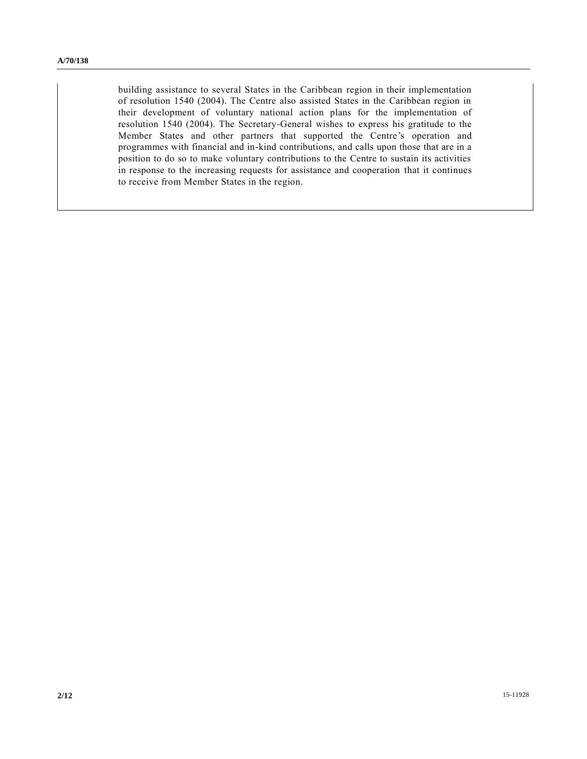building assistance to several States in the Caribbean region in their implementation of resolution 1540 (2004). The Centre also assisted States in the Caribbean region in their development of voluntary national action plans for the implementation of resolution 1540 (2004). The Secretary-General wishes to express his gratitude to the Member States and other partners that supported the Centre's operation and programmes with financial and in-kind contributions, and calls upon those that are in a position to do so to make voluntary contributions to the Centre to sustain its activities in response to the increasing requests for assistance and cooperation that it continues to receive from Member States in the region.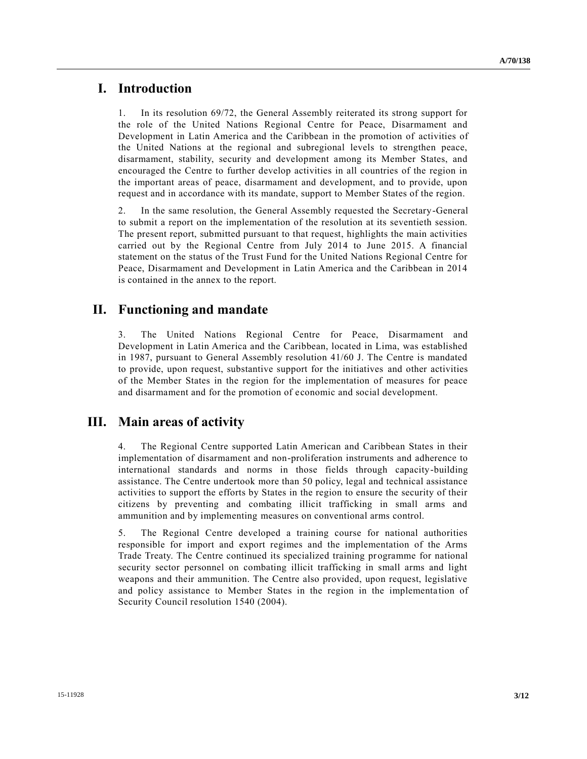### **I. Introduction**

1. In its resolution 69/72, the General Assembly reiterated its strong support for the role of the United Nations Regional Centre for Peace, Disarmament and Development in Latin America and the Caribbean in the promotion of activities of the United Nations at the regional and subregional levels to strengthen peace, disarmament, stability, security and development among its Member States, and encouraged the Centre to further develop activities in all countries of the region in the important areas of peace, disarmament and development, and to provide, upon request and in accordance with its mandate, support to Member States of the region.

2. In the same resolution, the General Assembly requested the Secretary-General to submit a report on the implementation of the resolution at its seventieth session. The present report, submitted pursuant to that request, highlights the main activities carried out by the Regional Centre from July 2014 to June 2015. A financial statement on the status of the Trust Fund for the United Nations Regional Centre for Peace, Disarmament and Development in Latin America and the Caribbean in 2014 is contained in the annex to the report.

## **II. Functioning and mandate**

3. The United Nations Regional Centre for Peace, Disarmament and Development in Latin America and the Caribbean, located in Lima, was established in 1987, pursuant to General Assembly resolution 41/60 J. The Centre is mandated to provide, upon request, substantive support for the initiatives and other activities of the Member States in the region for the implementation of measures for peace and disarmament and for the promotion of economic and social development.

### **III. Main areas of activity**

4. The Regional Centre supported Latin American and Caribbean States in their implementation of disarmament and non-proliferation instruments and adherence to international standards and norms in those fields through capacity-building assistance. The Centre undertook more than 50 policy, legal and technical assistance activities to support the efforts by States in the region to ensure the security of their citizens by preventing and combating illicit trafficking in small arms and ammunition and by implementing measures on conventional arms control.

5. The Regional Centre developed a training course for national authorities responsible for import and export regimes and the implementation of the Arms Trade Treaty. The Centre continued its specialized training programme for national security sector personnel on combating illicit trafficking in small arms and light weapons and their ammunition. The Centre also provided, upon request, legislative and policy assistance to Member States in the region in the implementa tion of Security Council resolution 1540 (2004).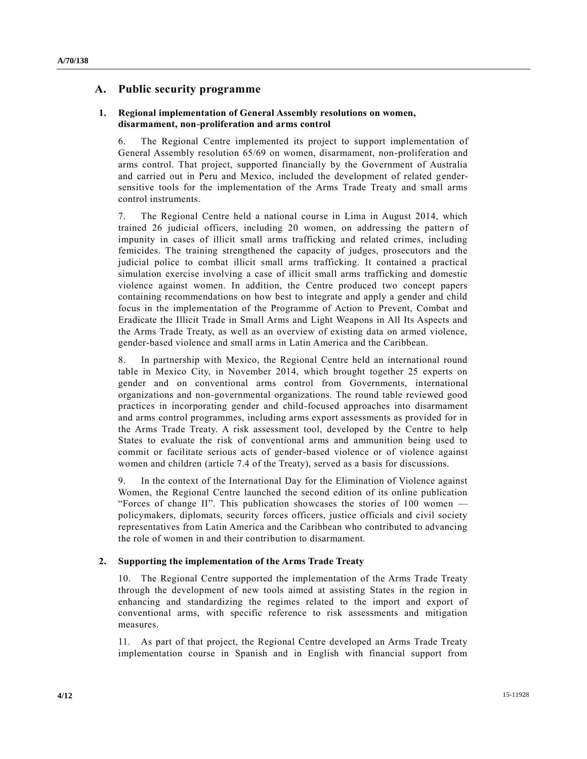### **A. Public security programme**

### **1. Regional implementation of General Assembly resolutions on women, disarmament, non-proliferation and arms control**

6. The Regional Centre implemented its project to support implementation of General Assembly resolution 65/69 on women, disarmament, non-proliferation and arms control. That project, supported financially by the Government of Australia and carried out in Peru and Mexico, included the development of related gendersensitive tools for the implementation of the Arms Trade Treaty and small arms control instruments.

7. The Regional Centre held a national course in Lima in August 2014, which trained 26 judicial officers, including 20 women, on addressing the pattern of impunity in cases of illicit small arms trafficking and related crimes, including femicides. The training strengthened the capacity of judges, prosecutors and the judicial police to combat illicit small arms trafficking. It contained a practical simulation exercise involving a case of illicit small arms trafficking and domestic violence against women. In addition, the Centre produced two concept papers containing recommendations on how best to integrate and apply a gender and child focus in the implementation of the Programme of Action to Prevent, Combat and Eradicate the Illicit Trade in Small Arms and Light Weapons in All Its Aspects and the Arms Trade Treaty, as well as an overview of existing data on armed violence, gender-based violence and small arms in Latin America and the Caribbean.

8. In partnership with Mexico, the Regional Centre held an international round table in Mexico City, in November 2014, which brought together 25 experts on gender and on conventional arms control from Governments, international organizations and non-governmental organizations. The round table reviewed good practices in incorporating gender and child-focused approaches into disarmament and arms control programmes, including arms export assessments as provided for in the Arms Trade Treaty. A risk assessment tool, developed by the Centre to help States to evaluate the risk of conventional arms and ammunition being used to commit or facilitate serious acts of gender-based violence or of violence against women and children (article 7.4 of the Treaty), served as a basis for discussions.

9. In the context of the International Day for the Elimination of Violence against Women, the Regional Centre launched the second edition of its online publication "Forces of change II". This publication showcases the stories of 100 women  $$ policymakers, diplomats, security forces officers, justice officials and civil society representatives from Latin America and the Caribbean who contributed to advancing the role of women in and their contribution to disarmament.

### **2. Supporting the implementation of the Arms Trade Treaty**

10. The Regional Centre supported the implementation of the Arms Trade Treaty through the development of new tools aimed at assisting States in the region in enhancing and standardizing the regimes related to the import and export of conventional arms, with specific reference to risk assessments and mitigation measures.

11. As part of that project, the Regional Centre developed an Arms Trade Treaty implementation course in Spanish and in English with financial support from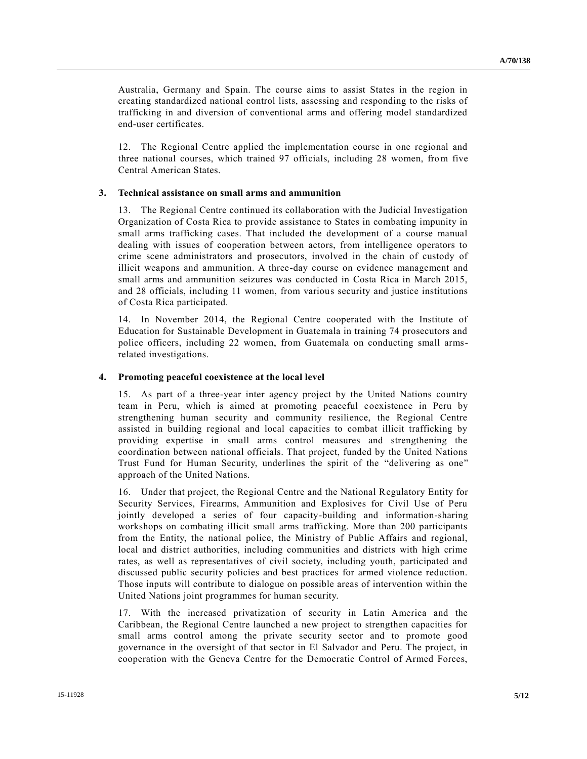Australia, Germany and Spain. The course aims to assist States in the region in creating standardized national control lists, assessing and responding to the risks of trafficking in and diversion of conventional arms and offering model standardized end-user certificates.

12. The Regional Centre applied the implementation course in one regional and three national courses, which trained 97 officials, including 28 women, from five Central American States.

#### **3. Technical assistance on small arms and ammunition**

13. The Regional Centre continued its collaboration with the Judicial Investigation Organization of Costa Rica to provide assistance to States in combating impunity in small arms trafficking cases. That included the development of a course manual dealing with issues of cooperation between actors, from intelligence operators to crime scene administrators and prosecutors, involved in the chain of custody of illicit weapons and ammunition. A three-day course on evidence management and small arms and ammunition seizures was conducted in Costa Rica in March 2015, and 28 officials, including 11 women, from various security and justice institutions of Costa Rica participated.

14. In November 2014, the Regional Centre cooperated with the Institute of Education for Sustainable Development in Guatemala in training 74 prosecutors and police officers, including 22 women, from Guatemala on conducting small armsrelated investigations.

#### **4. Promoting peaceful coexistence at the local level**

15. As part of a three-year inter agency project by the United Nations country team in Peru, which is aimed at promoting peaceful coexistence in Peru by strengthening human security and community resilience, the Regional Centre assisted in building regional and local capacities to combat illicit trafficking by providing expertise in small arms control measures and strengthening the coordination between national officials. That project, funded by the United Nations Trust Fund for Human Security, underlines the spirit of the "delivering as one" approach of the United Nations.

16. Under that project, the Regional Centre and the National Regulatory Entity for Security Services, Firearms, Ammunition and Explosives for Civil Use of Peru jointly developed a series of four capacity-building and information-sharing workshops on combating illicit small arms trafficking. More than 200 participants from the Entity, the national police, the Ministry of Public Affairs and regional, local and district authorities, including communities and districts with high crime rates, as well as representatives of civil society, including youth, participated and discussed public security policies and best practices for armed violence reduction. Those inputs will contribute to dialogue on possible areas of intervention within the United Nations joint programmes for human security.

17. With the increased privatization of security in Latin America and the Caribbean, the Regional Centre launched a new project to strengthen capacities for small arms control among the private security sector and to promote good governance in the oversight of that sector in El Salvador and Peru. The project, in cooperation with the Geneva Centre for the Democratic Control of Armed Forces,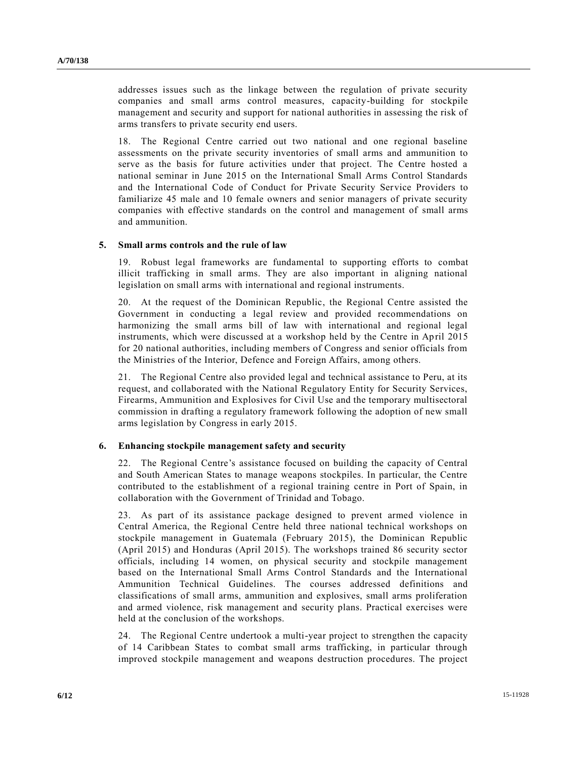addresses issues such as the linkage between the regulation of private security companies and small arms control measures, capacity-building for stockpile management and security and support for national authorities in assessing the risk of arms transfers to private security end users.

18. The Regional Centre carried out two national and one regional baseline assessments on the private security inventories of small arms and ammunition to serve as the basis for future activities under that project. The Centre hosted a national seminar in June 2015 on the International Small Arms Control Standards and the International Code of Conduct for Private Security Service Providers to familiarize 45 male and 10 female owners and senior managers of private security companies with effective standards on the control and management of small arms and ammunition.

#### **5. Small arms controls and the rule of law**

19. Robust legal frameworks are fundamental to supporting efforts to combat illicit trafficking in small arms. They are also important in aligning national legislation on small arms with international and regional instruments.

20. At the request of the Dominican Republic, the Regional Centre assisted the Government in conducting a legal review and provided recommendations on harmonizing the small arms bill of law with international and regional legal instruments, which were discussed at a workshop held by the Centre in April 2015 for 20 national authorities, including members of Congress and senior officials from the Ministries of the Interior, Defence and Foreign Affairs, among others.

21. The Regional Centre also provided legal and technical assistance to Peru, at its request, and collaborated with the National Regulatory Entity for Security Services, Firearms, Ammunition and Explosives for Civil Use and the temporary multisectoral commission in drafting a regulatory framework following the adoption of new small arms legislation by Congress in early 2015.

#### **6. Enhancing stockpile management safety and security**

22. The Regional Centre's assistance focused on building the capacity of Central and South American States to manage weapons stockpiles. In particular, the Centre contributed to the establishment of a regional training centre in Port of Spain, in collaboration with the Government of Trinidad and Tobago.

23. As part of its assistance package designed to prevent armed violence in Central America, the Regional Centre held three national technical workshops on stockpile management in Guatemala (February 2015), the Dominican Republic (April 2015) and Honduras (April 2015). The workshops trained 86 security sector officials, including 14 women, on physical security and stockpile management based on the International Small Arms Control Standards and the International Ammunition Technical Guidelines. The courses addressed definitions and classifications of small arms, ammunition and explosives, small arms proliferation and armed violence, risk management and security plans. Practical exercises were held at the conclusion of the workshops.

24. The Regional Centre undertook a multi-year project to strengthen the capacity of 14 Caribbean States to combat small arms trafficking, in particular through improved stockpile management and weapons destruction procedures. The project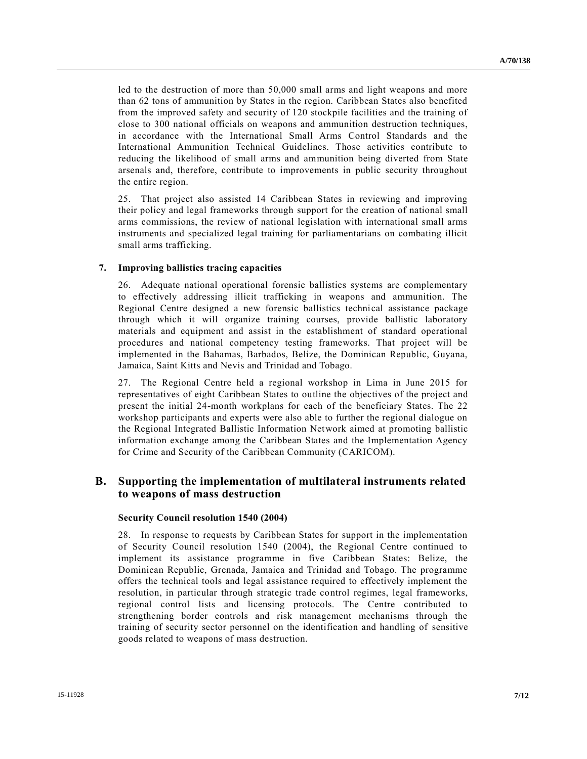led to the destruction of more than 50,000 small arms and light weapons and more than 62 tons of ammunition by States in the region. Caribbean States also benefited from the improved safety and security of 120 stockpile facilities and the training of close to 300 national officials on weapons and ammunition destruction techniques, in accordance with the International Small Arms Control Standards and the International Ammunition Technical Guidelines. Those activities contribute to reducing the likelihood of small arms and ammunition being diverted from State arsenals and, therefore, contribute to improvements in public security throughout the entire region.

25. That project also assisted 14 Caribbean States in reviewing and improving their policy and legal frameworks through support for the creation of national small arms commissions, the review of national legislation with international small arms instruments and specialized legal training for parliamentarians on combating illicit small arms trafficking.

### **7. Improving ballistics tracing capacities**

26. Adequate national operational forensic ballistics systems are complementary to effectively addressing illicit trafficking in weapons and ammunition. The Regional Centre designed a new forensic ballistics technical assistance package through which it will organize training courses, provide ballistic laboratory materials and equipment and assist in the establishment of standard operational procedures and national competency testing frameworks. That project will be implemented in the Bahamas, Barbados, Belize, the Dominican Republic, Guyana, Jamaica, Saint Kitts and Nevis and Trinidad and Tobago.

27. The Regional Centre held a regional workshop in Lima in June 2015 for representatives of eight Caribbean States to outline the objectives of the project and present the initial 24-month workplans for each of the beneficiary States. The 22 workshop participants and experts were also able to further the regional dialogue on the Regional Integrated Ballistic Information Network aimed at promoting ballistic information exchange among the Caribbean States and the Implementation Agency for Crime and Security of the Caribbean Community (CARICOM).

### **B. Supporting the implementation of multilateral instruments related to weapons of mass destruction**

### **Security Council resolution 1540 (2004)**

28. In response to requests by Caribbean States for support in the implementation of Security Council resolution 1540 (2004), the Regional Centre continued to implement its assistance programme in five Caribbean States: Belize, the Dominican Republic, Grenada, Jamaica and Trinidad and Tobago. The programme offers the technical tools and legal assistance required to effectively implement the resolution, in particular through strategic trade control regimes, legal frameworks, regional control lists and licensing protocols. The Centre contributed to strengthening border controls and risk management mechanisms through the training of security sector personnel on the identification and handling of sensitive goods related to weapons of mass destruction.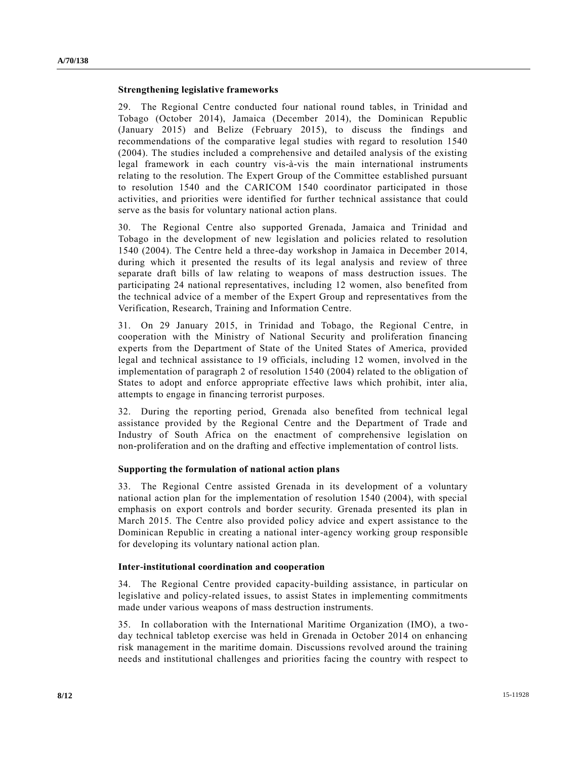#### **Strengthening legislative frameworks**

29. The Regional Centre conducted four national round tables, in Trinidad and Tobago (October 2014), Jamaica (December 2014), the Dominican Republic (January 2015) and Belize (February 2015), to discuss the findings and recommendations of the comparative legal studies with regard to resolution 1540 (2004). The studies included a comprehensive and detailed analysis of the existing legal framework in each country vis-à-vis the main international instruments relating to the resolution. The Expert Group of the Committee established pursuant to resolution 1540 and the CARICOM 1540 coordinator participated in those activities, and priorities were identified for further technical assistance that could serve as the basis for voluntary national action plans.

30. The Regional Centre also supported Grenada, Jamaica and Trinidad and Tobago in the development of new legislation and policies related to resolution 1540 (2004). The Centre held a three-day workshop in Jamaica in December 2014, during which it presented the results of its legal analysis and review of three separate draft bills of law relating to weapons of mass destruction issues. The participating 24 national representatives, including 12 women, also benefited from the technical advice of a member of the Expert Group and representatives from the Verification, Research, Training and Information Centre.

31. On 29 January 2015, in Trinidad and Tobago, the Regional Centre, in cooperation with the Ministry of National Security and proliferation financing experts from the Department of State of the United States of America, provided legal and technical assistance to 19 officials, including 12 women, involved in the implementation of paragraph 2 of resolution 1540 (2004) related to the obligation of States to adopt and enforce appropriate effective laws which prohibit, inter alia, attempts to engage in financing terrorist purposes.

32. During the reporting period, Grenada also benefited from technical legal assistance provided by the Regional Centre and the Department of Trade and Industry of South Africa on the enactment of comprehensive legislation on non-proliferation and on the drafting and effective implementation of control lists.

### **Supporting the formulation of national action plans**

33. The Regional Centre assisted Grenada in its development of a voluntary national action plan for the implementation of resolution 1540 (2004), with special emphasis on export controls and border security. Grenada presented its plan in March 2015. The Centre also provided policy advice and expert assistance to the Dominican Republic in creating a national inter-agency working group responsible for developing its voluntary national action plan.

#### **Inter-institutional coordination and cooperation**

34. The Regional Centre provided capacity-building assistance, in particular on legislative and policy-related issues, to assist States in implementing commitments made under various weapons of mass destruction instruments.

35. In collaboration with the International Maritime Organization (IMO), a twoday technical tabletop exercise was held in Grenada in October 2014 on enhancing risk management in the maritime domain. Discussions revolved around the training needs and institutional challenges and priorities facing the country with respect to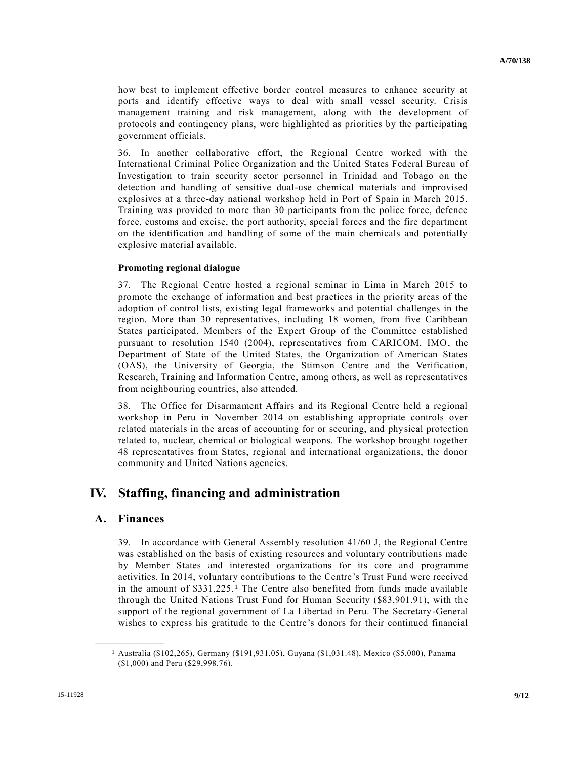how best to implement effective border control measures to enhance security at ports and identify effective ways to deal with small vessel security. Crisis management training and risk management, along with the development of protocols and contingency plans, were highlighted as priorities by the participating government officials.

36. In another collaborative effort, the Regional Centre worked with the International Criminal Police Organization and the United States Federal Bureau of Investigation to train security sector personnel in Trinidad and Tobago on the detection and handling of sensitive dual-use chemical materials and improvised explosives at a three-day national workshop held in Port of Spain in March 2015. Training was provided to more than 30 participants from the police force, defence force, customs and excise, the port authority, special forces and the fire department on the identification and handling of some of the main chemicals and potentially explosive material available.

### **Promoting regional dialogue**

37. The Regional Centre hosted a regional seminar in Lima in March 2015 to promote the exchange of information and best practices in the priority areas of the adoption of control lists, existing legal frameworks and potential challenges in the region. More than 30 representatives, including 18 women, from five Caribbean States participated. Members of the Expert Group of the Committee established pursuant to resolution 1540 (2004), representatives from CARICOM, IMO, the Department of State of the United States, the Organization of American States (OAS), the University of Georgia, the Stimson Centre and the Verification, Research, Training and Information Centre, among others, as well as representatives from neighbouring countries, also attended.

38. The Office for Disarmament Affairs and its Regional Centre held a regional workshop in Peru in November 2014 on establishing appropriate controls over related materials in the areas of accounting for or securing, and physical protection related to, nuclear, chemical or biological weapons. The workshop brought together 48 representatives from States, regional and international organizations, the donor community and United Nations agencies.

## **IV. Staffing, financing and administration**

### **A. Finances**

**\_\_\_\_\_\_\_\_\_\_\_\_\_\_\_\_\_\_**

39. In accordance with General Assembly resolution 41/60 J, the Regional Centre was established on the basis of existing resources and voluntary contributions made by Member States and interested organizations for its core and programme activities. In 2014, voluntary contributions to the Centre's Trust Fund were received in the amount of  $$331,225$ .<sup>1</sup> The Centre also benefited from funds made available through the United Nations Trust Fund for Human Security (\$83,901.91), with the support of the regional government of La Libertad in Peru. The Secretary-General wishes to express his gratitude to the Centre's donors for their continued financial

<sup>1</sup> Australia (\$102,265), Germany (\$191,931.05), Guyana (\$1,031.48), Mexico (\$5,000), Panama (\$1,000) and Peru (\$29,998.76).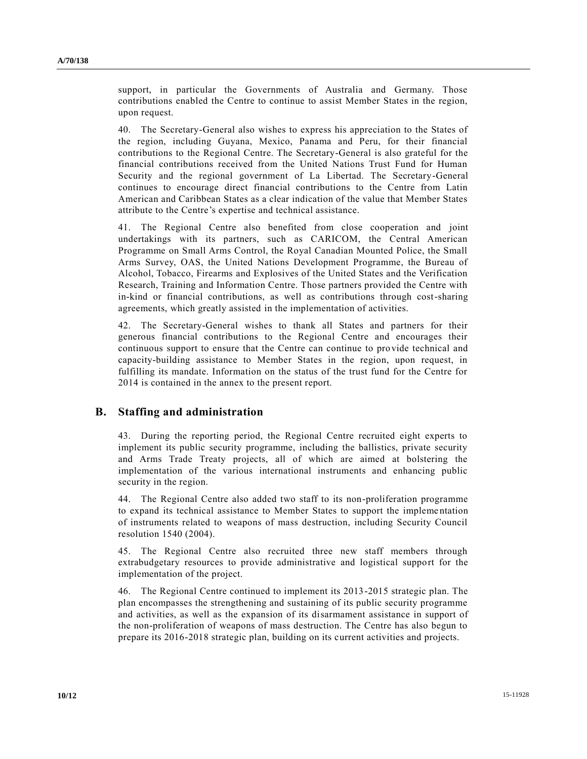support, in particular the Governments of Australia and Germany. Those contributions enabled the Centre to continue to assist Member States in the region, upon request.

40. The Secretary-General also wishes to express his appreciation to the States of the region, including Guyana, Mexico, Panama and Peru, for their financial contributions to the Regional Centre. The Secretary-General is also grateful for the financial contributions received from the United Nations Trust Fund for Human Security and the regional government of La Libertad. The Secretary-General continues to encourage direct financial contributions to the Centre from Latin American and Caribbean States as a clear indication of the value that Member States attribute to the Centre's expertise and technical assistance.

41. The Regional Centre also benefited from close cooperation and joint undertakings with its partners, such as CARICOM, the Central American Programme on Small Arms Control, the Royal Canadian Mounted Police, the Small Arms Survey, OAS, the United Nations Development Programme, the Bureau of Alcohol, Tobacco, Firearms and Explosives of the United States and the Verification Research, Training and Information Centre. Those partners provided the Centre with in-kind or financial contributions, as well as contributions through cost-sharing agreements, which greatly assisted in the implementation of activities.

42. The Secretary-General wishes to thank all States and partners for their generous financial contributions to the Regional Centre and encourages their continuous support to ensure that the Centre can continue to provide technical and capacity-building assistance to Member States in the region, upon request, in fulfilling its mandate. Information on the status of the trust fund for the Centre for 2014 is contained in the annex to the present report.

### **B. Staffing and administration**

43. During the reporting period, the Regional Centre recruited eight experts to implement its public security programme, including the ballistics, private security and Arms Trade Treaty projects, all of which are aimed at bolstering the implementation of the various international instruments and enhancing public security in the region.

44. The Regional Centre also added two staff to its non-proliferation programme to expand its technical assistance to Member States to support the impleme ntation of instruments related to weapons of mass destruction, including Security Council resolution 1540 (2004).

45. The Regional Centre also recruited three new staff members through extrabudgetary resources to provide administrative and logistical support for the implementation of the project.

46. The Regional Centre continued to implement its 2013-2015 strategic plan. The plan encompasses the strengthening and sustaining of its public security programme and activities, as well as the expansion of its disarmament assistance in support of the non-proliferation of weapons of mass destruction. The Centre has also begun to prepare its 2016-2018 strategic plan, building on its current activities and projects.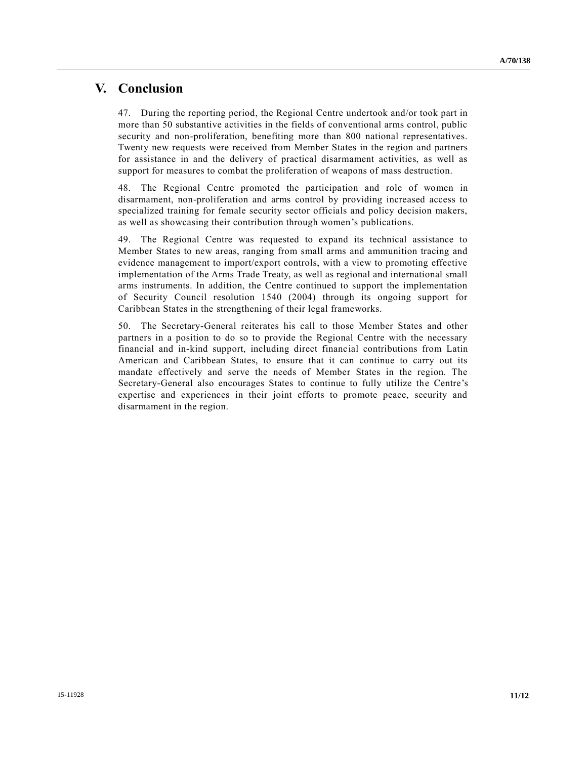## **V. Conclusion**

47. During the reporting period, the Regional Centre undertook and/or took part in more than 50 substantive activities in the fields of conventional arms control, public security and non-proliferation, benefiting more than 800 national representatives. Twenty new requests were received from Member States in the region and partners for assistance in and the delivery of practical disarmament activities, as well as support for measures to combat the proliferation of weapons of mass destruction.

48. The Regional Centre promoted the participation and role of women in disarmament, non-proliferation and arms control by providing increased access to specialized training for female security sector officials and policy decision makers, as well as showcasing their contribution through women's publications.

49. The Regional Centre was requested to expand its technical assistance to Member States to new areas, ranging from small arms and ammunition tracing and evidence management to import/export controls, with a view to promoting effective implementation of the Arms Trade Treaty, as well as regional and international small arms instruments. In addition, the Centre continued to support the implementation of Security Council resolution 1540 (2004) through its ongoing support for Caribbean States in the strengthening of their legal frameworks.

50. The Secretary-General reiterates his call to those Member States and other partners in a position to do so to provide the Regional Centre with the necessary financial and in-kind support, including direct financial contributions from Latin American and Caribbean States, to ensure that it can continue to carry out its mandate effectively and serve the needs of Member States in the region. The Secretary-General also encourages States to continue to fully utilize the Centre's expertise and experiences in their joint efforts to promote peace, security and disarmament in the region.